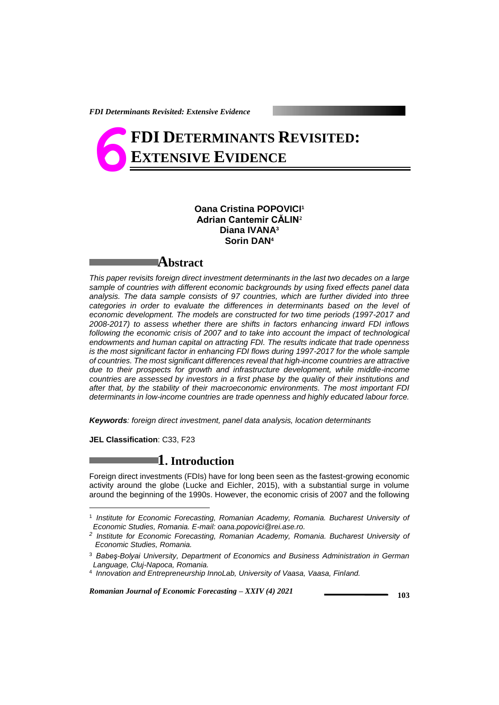# **FDI DETERMINANTS REVISITED: EXTENSIVE EVIDENCE 6**

## **Oana Cristina POPOVICI<sup>1</sup> Adrian Cantemir CĂLIN<sup>2</sup> Diana IVANA<sup>3</sup> Sorin DAN<sup>4</sup>**



*This paper revisits foreign direct investment determinants in the last two decades on a large sample of countries with different economic backgrounds by using fixed effects panel data analysis. The data sample consists of 97 countries, which are further divided into three categories in order to evaluate the differences in determinants based on the level of economic development. The models are constructed for two time periods (1997-2017 and 2008-2017) to assess whether there are shifts in factors enhancing inward FDI inflows*  following the economic crisis of 2007 and to take into account the impact of technological *endowments and human capital on attracting FDI. The results indicate that trade openness is the most significant factor in enhancing FDI flows during 1997-2017 for the whole sample of countries. The most significant differences reveal that high-income countries are attractive due to their prospects for growth and infrastructure development, while middle-income countries are assessed by investors in a first phase by the quality of their institutions and after that, by the stability of their macroeconomic environments. The most important FDI determinants in low-income countries are trade openness and highly educated labour force.*

*Keywords: foreign direct investment, panel data analysis, location determinants*

**JEL Classification**: C33, F23

-

# **1. Introduction**

Foreign direct investments (FDIs) have for long been seen as the fastest-growing economic activity around the globe (Lucke and Eichler, 2015), with a substantial surge in volume around the beginning of the 1990s. However, the economic crisis of 2007 and the following

<sup>&</sup>lt;sup>1</sup> Institute for Economic Forecasting, Romanian Academy, Romania. Bucharest University of *Economic Studies, Romania. E-mail[: oana.popovici@rei.ase.ro.](mailto:oana.popovici@rei.ase.ro)*

*<sup>2</sup> Institute for Economic Forecasting, Romanian Academy, Romania. Bucharest University of Economic Studies, Romania.*

<sup>3</sup> *Babeş-Bolyai University, Department of Economics and Business Administration in German Language, Cluj-Napoca, Romania.*

<sup>4</sup> *Innovation and Entrepreneurship InnoLab, University of Vaasa, Vaasa, Finland.*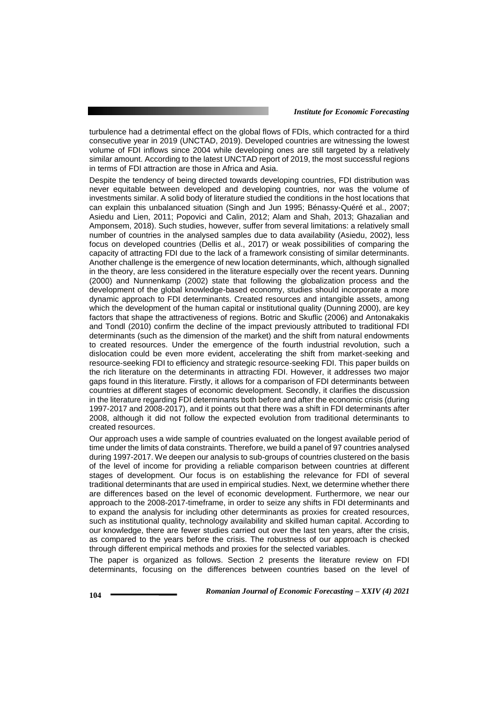turbulence had a detrimental effect on the global flows of FDIs, which contracted for a third consecutive year in 2019 (UNCTAD, 2019). Developed countries are witnessing the lowest volume of FDI inflows since 2004 while developing ones are still targeted by a relatively similar amount. According to the latest UNCTAD report of 2019, the most successful regions in terms of FDI attraction are those in Africa and Asia.

Despite the tendency of being directed towards developing countries, FDI distribution was never equitable between developed and developing countries, nor was the volume of investments similar. A solid body of literature studied the conditions in the host locations that can explain this unbalanced situation (Singh and Jun 1995; Bénassy-Quéré et al., 2007; Asiedu and Lien, 2011; Popovici and Calin, 2012; Alam and Shah, 2013; Ghazalian and Amponsem, 2018). Such studies, however, suffer from several limitations: a relatively small number of countries in the analysed samples due to data availability (Asiedu, 2002), less focus on developed countries (Dellis et al., 2017) or weak possibilities of comparing the capacity of attracting FDI due to the lack of a framework consisting of similar determinants. Another challenge is the emergence of new location determinants, which, although signalled in the theory, are less considered in the literature especially over the recent years. Dunning (2000) and Nunnenkamp (2002) state that following the globalization process and the development of the global knowledge-based economy, studies should incorporate a more dynamic approach to FDI determinants. Created resources and intangible assets, among which the development of the human capital or institutional quality (Dunning 2000), are key factors that shape the attractiveness of regions. Botric and Skuflic (2006) and Antonakakis and Tondl (2010) confirm the decline of the impact previously attributed to traditional FDI determinants (such as the dimension of the market) and the shift from natural endowments to created resources. Under the emergence of the fourth industrial revolution, such a dislocation could be even more evident, accelerating the shift from market-seeking and resource-seeking FDI to efficiency and strategic resource-seeking FDI. This paper builds on the rich literature on the determinants in attracting FDI. However, it addresses two major gaps found in this literature. Firstly, it allows for a comparison of FDI determinants between countries at different stages of economic development. Secondly, it clarifies the discussion in the literature regarding FDI determinants both before and after the economic crisis (during 1997-2017 and 2008-2017), and it points out that there was a shift in FDI determinants after 2008, although it did not follow the expected evolution from traditional determinants to created resources.

Our approach uses a wide sample of countries evaluated on the longest available period of time under the limits of data constraints. Therefore, we build a panel of 97 countries analysed during 1997-2017. We deepen our analysis to sub-groups of countries clustered on the basis of the level of income for providing a reliable comparison between countries at different stages of development. Our focus is on establishing the relevance for FDI of several traditional determinants that are used in empirical studies. Next, we determine whether there are differences based on the level of economic development. Furthermore, we near our approach to the 2008-2017-timeframe, in order to seize any shifts in FDI determinants and to expand the analysis for including other determinants as proxies for created resources, such as institutional quality, technology availability and skilled human capital. According to our knowledge, there are fewer studies carried out over the last ten years, after the crisis, as compared to the years before the crisis. The robustness of our approach is checked through different empirical methods and proxies for the selected variables.

The paper is organized as follows. Section 2 presents the literature review on FDI determinants, focusing on the differences between countries based on the level of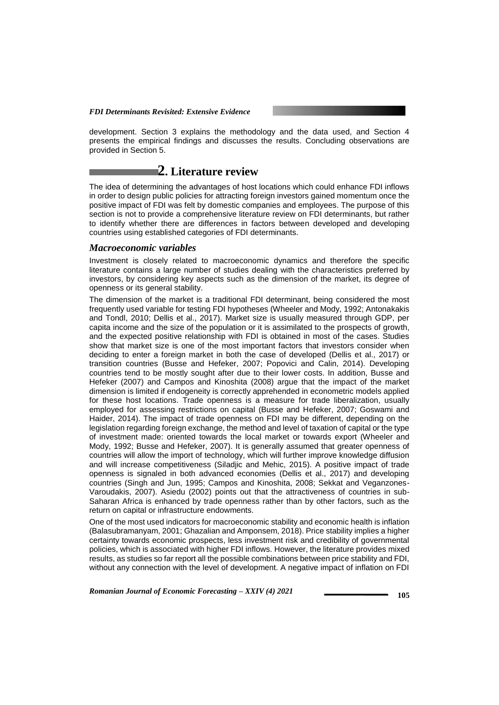development. Section 3 explains the methodology and the data used, and Section 4 presents the empirical findings and discusses the results. Concluding observations are provided in Section 5.

# **2. Literature review**

The idea of determining the advantages of host locations which could enhance FDI inflows in order to design public policies for attracting foreign investors gained momentum once the positive impact of FDI was felt by domestic companies and employees. The purpose of this section is not to provide a comprehensive literature review on FDI determinants, but rather to identify whether there are differences in factors between developed and developing countries using established categories of FDI determinants.

## *Macroeconomic variables*

Investment is closely related to macroeconomic dynamics and therefore the specific literature contains a large number of studies dealing with the characteristics preferred by investors, by considering key aspects such as the dimension of the market, its degree of openness or its general stability.

The dimension of the market is a traditional FDI determinant, being considered the most frequently used variable for testing FDI hypotheses (Wheeler and Mody, 1992; Antonakakis and Tondl, 2010; Dellis et al., 2017). Market size is usually measured through GDP, per capita income and the size of the population or it is assimilated to the prospects of growth, and the expected positive relationship with FDI is obtained in most of the cases. Studies show that market size is one of the most important factors that investors consider when deciding to enter a foreign market in both the case of developed (Dellis et al., 2017) or transition countries (Busse and Hefeker, 2007; Popovici and Calin, 2014). Developing countries tend to be mostly sought after due to their lower costs. In addition, Busse and Hefeker (2007) and Campos and Kinoshita (2008) argue that the impact of the market dimension is limited if endogeneity is correctly apprehended in econometric models applied for these host locations. Trade openness is a measure for trade liberalization, usually employed for assessing restrictions on capital (Busse and Hefeker, 2007; Goswami and Haider, 2014). The impact of trade openness on FDI may be different, depending on the legislation regarding foreign exchange, the method and level of taxation of capital or the type of investment made: oriented towards the local market or towards export (Wheeler and Mody, 1992; Busse and Hefeker, 2007). It is generally assumed that greater openness of countries will allow the import of technology, which will further improve knowledge diffusion and will increase competitiveness (Siladjic and Mehic, 2015). A positive impact of trade openness is signaled in both advanced economies (Dellis et al., 2017) and developing countries (Singh and Jun, 1995; Campos and Kinoshita, 2008; Sekkat and Veganzones-Varoudakis, 2007). Asiedu (2002) points out that the attractiveness of countries in sub-Saharan Africa is enhanced by trade openness rather than by other factors, such as the return on capital or infrastructure endowments.

One of the most used indicators for macroeconomic stability and economic health is inflation (Balasubramanyam, 2001; Ghazalian and Amponsem, 2018). Price stability implies a higher certainty towards economic prospects, less investment risk and credibility of governmental policies, which is associated with higher FDI inflows. However, the literature provides mixed results, as studies so far report all the possible combinations between price stability and FDI, without any connection with the level of development. A negative impact of inflation on FDI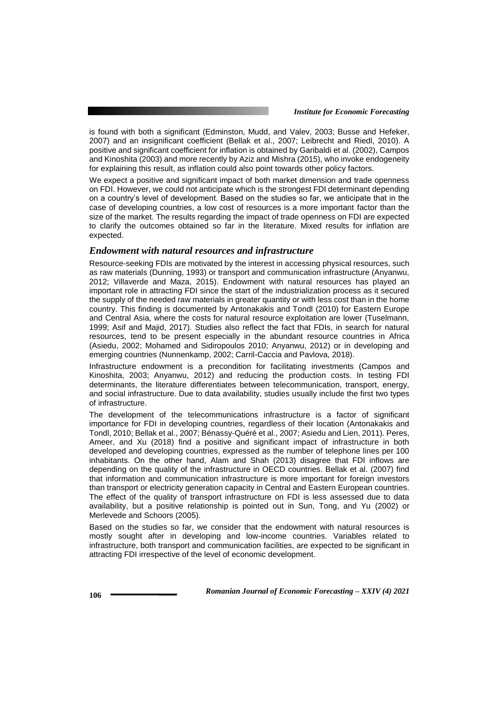is found with both a significant (Edminston, Mudd, and Valev, 2003; Busse and Hefeker, 2007) and an insignificant coefficient (Bellak et al., 2007; Leibrecht and Riedl, 2010). A positive and significant coefficient for inflation is obtained by Garibaldi et al. (2002), Campos and Kinoshita (2003) and more recently by Aziz and Mishra (2015), who invoke endogeneity for explaining this result, as inflation could also point towards other policy factors.

We expect a positive and significant impact of both market dimension and trade openness on FDI. However, we could not anticipate which is the strongest FDI determinant depending on a country's level of development. Based on the studies so far, we anticipate that in the case of developing countries, a low cost of resources is a more important factor than the size of the market. The results regarding the impact of trade openness on FDI are expected to clarify the outcomes obtained so far in the literature. Mixed results for inflation are expected.

## *Endowment with natural resources and infrastructure*

Resource-seeking FDIs are motivated by the interest in accessing physical resources, such as raw materials (Dunning, 1993) or transport and communication infrastructure (Anyanwu, 2012; Villaverde and Maza, 2015). Endowment with natural resources has played an important role in attracting FDI since the start of the industrialization process as it secured the supply of the needed raw materials in greater quantity or with less cost than in the home country. This finding is documented by Antonakakis and Tondl (2010) for Eastern Europe and Central Asia, where the costs for natural resource exploitation are lower (Tuselmann, 1999; Asif and Majid, 2017). Studies also reflect the fact that FDIs, in search for natural resources, tend to be present especially in the abundant resource countries in Africa (Asiedu, 2002; Mohamed and Sidiropoulos 2010; Anyanwu, 2012) or in developing and emerging countries (Nunnenkamp, 2002; Carril-Caccia and Pavlova, 2018).

Infrastructure endowment is a precondition for facilitating investments (Campos and Kinoshita, 2003; Anyanwu, 2012) and reducing the production costs. In testing FDI determinants, the literature differentiates between telecommunication, transport, energy, and social infrastructure. Due to data availability, studies usually include the first two types of infrastructure.

The development of the telecommunications infrastructure is a factor of significant importance for FDI in developing countries, regardless of their location (Antonakakis and Tondl, 2010; Bellak et al., 2007; Bénassy-Quéré et al., 2007; Asiedu and Lien, 2011). Peres, Ameer, and Xu (2018) find a positive and significant impact of infrastructure in both developed and developing countries, expressed as the number of telephone lines per 100 inhabitants. On the other hand, Alam and Shah (2013) disagree that FDI inflows are depending on the quality of the infrastructure in OECD countries. Bellak et al. (2007) find that information and communication infrastructure is more important for foreign investors than transport or electricity generation capacity in Central and Eastern European countries. The effect of the quality of transport infrastructure on FDI is less assessed due to data availability, but a positive relationship is pointed out in Sun, Tong, and Yu (2002) or Merlevede and Schoors (2005).

Based on the studies so far, we consider that the endowment with natural resources is mostly sought after in developing and low-income countries. Variables related to infrastructure, both transport and communication facilities, are expected to be significant in attracting FDI irrespective of the level of economic development.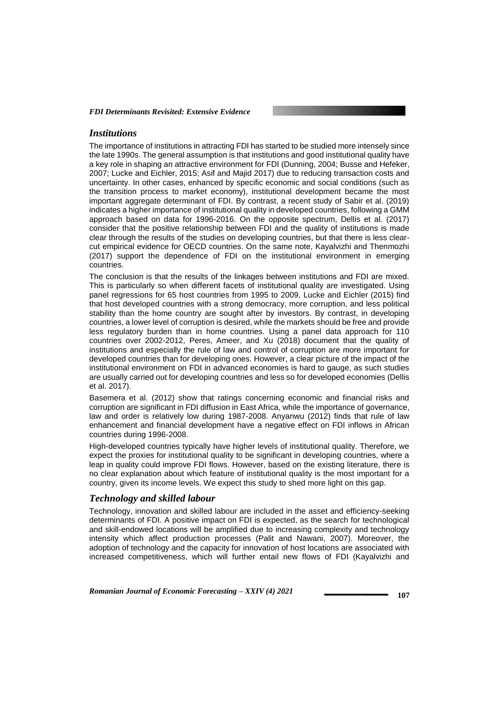#### *Institutions*

The importance of institutions in attracting FDI has started to be studied more intensely since the late 1990s. The general assumption is that institutions and good institutional quality have a key role in shaping an attractive environment for FDI (Dunning, 2004; Busse and Hefeker, 2007; Lucke and Eichler, 2015; Asif and Majid 2017) due to reducing transaction costs and uncertainty. In other cases, enhanced by specific economic and social conditions (such as the transition process to market economy), institutional development became the most important aggregate determinant of FDI. By contrast, a recent study of Sabir et al. (2019) indicates a higher importance of institutional quality in developed countries, following a GMM approach based on data for 1996-2016. On the opposite spectrum, Dellis et al. (2017) consider that the positive relationship between FDI and the quality of institutions is made clear through the results of the studies on developing countries, but that there is less clearcut empirical evidence for OECD countries. On the same note, Kayalvizhi and Thenmozhi (2017) support the dependence of FDI on the institutional environment in emerging countries.

The conclusion is that the results of the linkages between institutions and FDI are mixed. This is particularly so when different facets of institutional quality are investigated. Using panel regressions for 65 host countries from 1995 to 2009, Lucke and Eichler (2015) find that host developed countries with a strong democracy, more corruption, and less political stability than the home country are sought after by investors. By contrast, in developing countries, a lower level of corruption is desired, while the markets should be free and provide less regulatory burden than in home countries. Using a panel data approach for 110 countries over 2002-2012, Peres, Ameer, and Xu (2018) document that the quality of institutions and especially the rule of law and control of corruption are more important for developed countries than for developing ones. However, a clear picture of the impact of the institutional environment on FDI in advanced economies is hard to gauge, as such studies are usually carried out for developing countries and less so for developed economies (Dellis et al. 2017).

Basemera et al. (2012) show that ratings concerning economic and financial risks and corruption are significant in FDI diffusion in East Africa, while the importance of governance, law and order is relatively low during 1987-2008. Anyanwu (2012) finds that rule of law enhancement and financial development have a negative effect on FDI inflows in African countries during 1996-2008.

High-developed countries typically have higher levels of institutional quality. Therefore, we expect the proxies for institutional quality to be significant in developing countries, where a leap in quality could improve FDI flows. However, based on the existing literature, there is no clear explanation about which feature of institutional quality is the most important for a country, given its income levels. We expect this study to shed more light on this gap.

## *Technology and skilled labour*

Technology, innovation and skilled labour are included in the asset and efficiency-seeking determinants of FDI. A positive impact on FDI is expected, as the search for technological and skill-endowed locations will be amplified due to increasing complexity and technology intensity which affect production processes (Palit and Nawani, 2007). Moreover, the adoption of technology and the capacity for innovation of host locations are associated with increased competitiveness, which will further entail new flows of FDI (Kayalvizhi and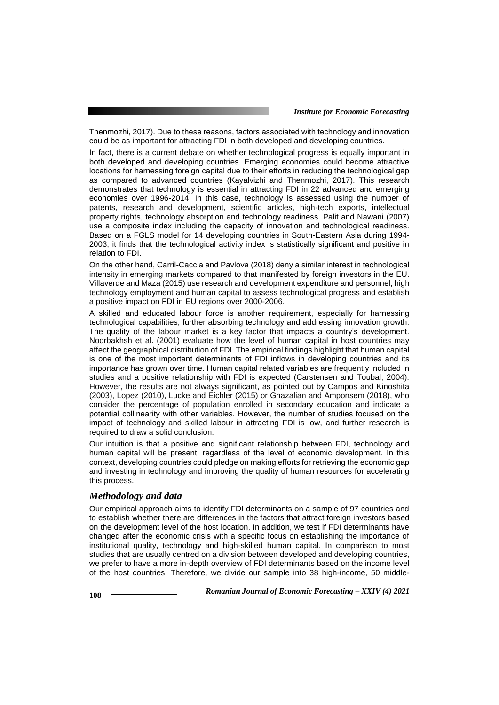Thenmozhi, 2017). Due to these reasons, factors associated with technology and innovation could be as important for attracting FDI in both developed and developing countries.

In fact, there is a current debate on whether technological progress is equally important in both developed and developing countries. Emerging economies could become attractive locations for harnessing foreign capital due to their efforts in reducing the technological gap as compared to advanced countries (Kayalvizhi and Thenmozhi, 2017). This research demonstrates that technology is essential in attracting FDI in 22 advanced and emerging economies over 1996-2014. In this case, technology is assessed using the number of patents, research and development, scientific articles, high-tech exports, intellectual property rights, technology absorption and technology readiness. Palit and Nawani (2007) use a composite index including the capacity of innovation and technological readiness. Based on a FGLS model for 14 developing countries in South-Eastern Asia during 1994- 2003, it finds that the technological activity index is statistically significant and positive in relation to FDI.

On the other hand, Carril-Caccia and Pavlova (2018) deny a similar interest in technological intensity in emerging markets compared to that manifested by foreign investors in the EU. Villaverde and Maza (2015) use research and development expenditure and personnel, high technology employment and human capital to assess technological progress and establish a positive impact on FDI in EU regions over 2000-2006.

A skilled and educated labour force is another requirement, especially for harnessing technological capabilities, further absorbing technology and addressing innovation growth. The quality of the labour market is a key factor that impacts a country's development. Noorbakhsh et al. (2001) evaluate how the level of human capital in host countries may affect the geographical distribution of FDI. The empirical findings highlight that human capital is one of the most important determinants of FDI inflows in developing countries and its importance has grown over time. Human capital related variables are frequently included in studies and a positive relationship with FDI is expected (Carstensen and Toubal, 2004). However, the results are not always significant, as pointed out by Campos and Kinoshita (2003), Lopez (2010), Lucke and Eichler (2015) or Ghazalian and Amponsem (2018), who consider the percentage of population enrolled in secondary education and indicate a potential collinearity with other variables. However, the number of studies focused on the impact of technology and skilled labour in attracting FDI is low, and further research is required to draw a solid conclusion.

Our intuition is that a positive and significant relationship between FDI, technology and human capital will be present, regardless of the level of economic development. In this context, developing countries could pledge on making efforts for retrieving the economic gap and investing in technology and improving the quality of human resources for accelerating this process.

## *Methodology and data*

Our empirical approach aims to identify FDI determinants on a sample of 97 countries and to establish whether there are differences in the factors that attract foreign investors based on the development level of the host location. In addition, we test if FDI determinants have changed after the economic crisis with a specific focus on establishing the importance of institutional quality, technology and high-skilled human capital. In comparison to most studies that are usually centred on a division between developed and developing countries, we prefer to have a more in-depth overview of FDI determinants based on the income level of the host countries. Therefore, we divide our sample into 38 high-income, 50 middle-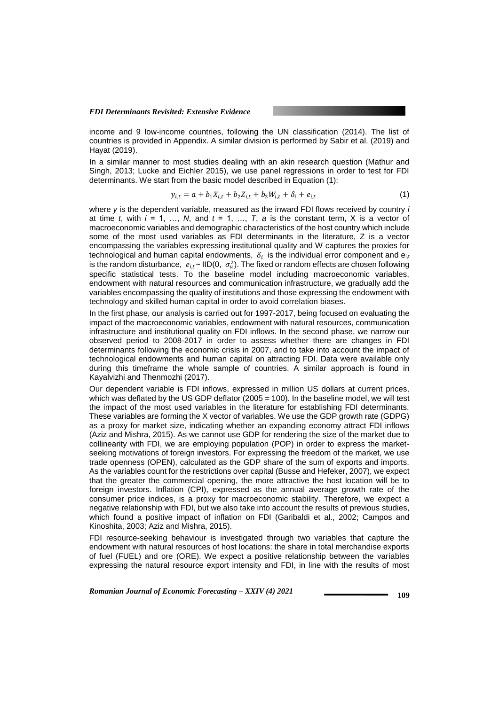income and 9 low-income countries, following the UN classification (2014). The list of countries is provided in Appendix. A similar division is performed by Sabir et al. (2019) and Hayat (2019).

In a similar manner to most studies dealing with an akin research question (Mathur and Singh, 2013; Lucke and Eichler 2015), we use panel regressions in order to test for FDI determinants. We start from the basic model described in Equation (1):

$$
y_{i,t} = a + b_1 X_{i,t} + b_2 Z_{i,t} + b_3 W_{i,t} + \delta_i + e_{i,t}
$$
\n(1)

where *y* is the dependent variable, measured as the inward FDI flows received by country *i* at time *t*, with  $i = 1, \ldots, N$ , and  $t = 1, \ldots, T$ , a is the constant term, X is a vector of macroeconomic variables and demographic characteristics of the host country which include some of the most used variables as FDI determinants in the literature, Z is a vector encompassing the variables expressing institutional quality and W captures the proxies for technological and human capital endowments,  $\,\delta_i\,$  is the individual error component and e $_{\rm i, t}$ is the random disturbance,  $e_{i,t}$  ~ IID(0,  $\sigma_u^2$ ). The fixed or random effects are chosen following specific statistical tests. To the baseline model including macroeconomic variables, endowment with natural resources and communication infrastructure, we gradually add the variables encompassing the quality of institutions and those expressing the endowment with technology and skilled human capital in order to avoid correlation biases.

In the first phase, our analysis is carried out for 1997-2017, being focused on evaluating the impact of the macroeconomic variables, endowment with natural resources, communication infrastructure and institutional quality on FDI inflows. In the second phase, we narrow our observed period to 2008-2017 in order to assess whether there are changes in FDI determinants following the economic crisis in 2007, and to take into account the impact of technological endowments and human capital on attracting FDI. Data were available only during this timeframe the whole sample of countries. A similar approach is found in Kayalvizhi and Thenmozhi (2017).

Our dependent variable is FDI inflows, expressed in million US dollars at current prices, which was deflated by the US GDP deflator (2005 = 100). In the baseline model, we will test the impact of the most used variables in the literature for establishing FDI determinants. These variables are forming the X vector of variables. We use the GDP growth rate (GDPG) as a proxy for market size, indicating whether an expanding economy attract FDI inflows (Aziz and Mishra, 2015). As we cannot use GDP for rendering the size of the market due to collinearity with FDI, we are employing population (POP) in order to express the marketseeking motivations of foreign investors. For expressing the freedom of the market, we use trade openness (OPEN), calculated as the GDP share of the sum of exports and imports. As the variables count for the restrictions over capital (Busse and Hefeker, 2007), we expect that the greater the commercial opening, the more attractive the host location will be to foreign investors. Inflation (CPI), expressed as the annual average growth rate of the consumer price indices, is a proxy for macroeconomic stability. Therefore, we expect a negative relationship with FDI, but we also take into account the results of previous studies, which found a positive impact of inflation on FDI (Garibaldi et al., 2002; Campos and Kinoshita, 2003; Aziz and Mishra, 2015).

FDI resource-seeking behaviour is investigated through two variables that capture the endowment with natural resources of host locations: the share in total merchandise exports of fuel (FUEL) and ore (ORE). We expect a positive relationship between the variables expressing the natural resource export intensity and FDI, in line with the results of most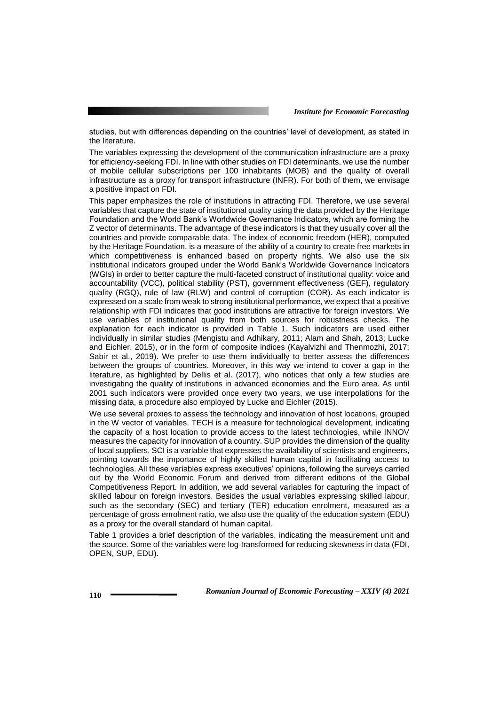studies, but with differences depending on the countries' level of development, as stated in the literature.

The variables expressing the development of the communication infrastructure are a proxy for efficiency-seeking FDI. In line with other studies on FDI determinants, we use the number of mobile cellular subscriptions per 100 inhabitants (MOB) and the quality of overall infrastructure as a proxy for transport infrastructure (INFR). For both of them, we envisage a positive impact on FDI.

This paper emphasizes the role of institutions in attracting FDI. Therefore, we use several variables that capture the state of institutional quality using the data provided by the Heritage Foundation and the World Bank's Worldwide Governance Indicators, which are forming the Z vector of determinants. The advantage of these indicators is that they usually cover all the countries and provide comparable data. The index of economic freedom (HER), computed by the Heritage Foundation, is a measure of the ability of a country to create free markets in which competitiveness is enhanced based on property rights. We also use the six institutional indicators grouped under the World Bank's Worldwide Governance Indicators (WGIs) in order to better capture the multi-faceted construct of institutional quality: voice and accountability (VCC), political stability (PST), government effectiveness (GEF), regulatory quality (RGQ), rule of law (RLW) and control of corruption (COR). As each indicator is expressed on a scale from weak to strong institutional performance, we expect that a positive relationship with FDI indicates that good institutions are attractive for foreign investors. We use variables of institutional quality from both sources for robustness checks. The explanation for each indicator is provided in Table 1. Such indicators are used either individually in similar studies (Mengistu and Adhikary, 2011; Alam and Shah, 2013; Lucke and Eichler, 2015), or in the form of composite indices (Kayalvizhi and Thenmozhi, 2017; Sabir et al., 2019). We prefer to use them individually to better assess the differences between the groups of countries. Moreover, in this way we intend to cover a gap in the literature, as highlighted by Dellis et al. (2017), who notices that only a few studies are investigating the quality of institutions in advanced economies and the Euro area. As until 2001 such indicators were provided once every two years, we use interpolations for the missing data, a procedure also employed by Lucke and Eichler (2015).

We use several proxies to assess the technology and innovation of host locations, grouped in the W vector of variables. TECH is a measure for technological development, indicating the capacity of a host location to provide access to the latest technologies, while INNOV measures the capacity for innovation of a country. SUP provides the dimension of the quality of local suppliers. SCI is a variable that expresses the availability of scientists and engineers, pointing towards the importance of highly skilled human capital in facilitating access to technologies. All these variables express executives' opinions, following the surveys carried out by the World Economic Forum and derived from different editions of the Global Competitiveness Report. In addition, we add several variables for capturing the impact of skilled labour on foreign investors. Besides the usual variables expressing skilled labour, such as the secondary (SEC) and tertiary (TER) education enrolment, measured as a percentage of gross enrolment ratio, we also use the quality of the education system (EDU) as a proxy for the overall standard of human capital.

Table 1 provides a brief description of the variables, indicating the measurement unit and the source. Some of the variables were log-transformed for reducing skewness in data (FDI, OPEN, SUP, EDU).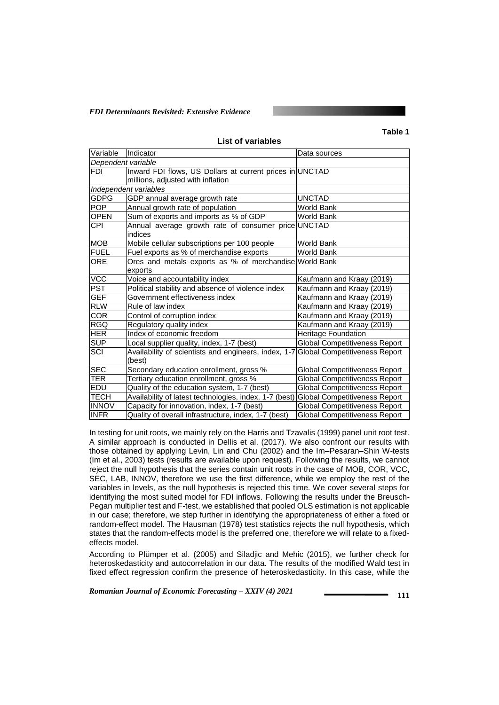#### **Table 1**

| Variable           | Indicator                                                                          | Data sources                         |  |  |  |  |  |  |
|--------------------|------------------------------------------------------------------------------------|--------------------------------------|--|--|--|--|--|--|
| Dependent variable |                                                                                    |                                      |  |  |  |  |  |  |
| <b>FDI</b>         | Inward FDI flows, US Dollars at current prices in UNCTAD                           |                                      |  |  |  |  |  |  |
|                    | millions, adjusted with inflation                                                  |                                      |  |  |  |  |  |  |
|                    | Independent variables                                                              |                                      |  |  |  |  |  |  |
| <b>GDPG</b>        | GDP annual average growth rate                                                     | <b>UNCTAD</b>                        |  |  |  |  |  |  |
| <b>POP</b>         | Annual growth rate of population<br>World Bank                                     |                                      |  |  |  |  |  |  |
| <b>OPEN</b>        | Sum of exports and imports as % of GDP                                             | World Bank                           |  |  |  |  |  |  |
| <b>CPI</b>         | Annual average growth rate of consumer price UNCTAD                                |                                      |  |  |  |  |  |  |
|                    | indices                                                                            |                                      |  |  |  |  |  |  |
| <b>MOB</b>         | Mobile cellular subscriptions per 100 people                                       | World Bank                           |  |  |  |  |  |  |
| <b>FUEL</b>        | Fuel exports as % of merchandise exports                                           | World Bank                           |  |  |  |  |  |  |
| <b>ORE</b>         | Ores and metals exports as % of merchandise World Bank                             |                                      |  |  |  |  |  |  |
|                    | exports                                                                            |                                      |  |  |  |  |  |  |
| VCC                | Voice and accountability index                                                     | Kaufmann and Kraay (2019)            |  |  |  |  |  |  |
| <b>PST</b>         | Political stability and absence of violence index                                  | Kaufmann and Kraay (2019)            |  |  |  |  |  |  |
| <b>GEF</b>         | Government effectiveness index                                                     | Kaufmann and Kraay (2019)            |  |  |  |  |  |  |
| <b>RLW</b>         | Rule of law index                                                                  | Kaufmann and Kraay (2019)            |  |  |  |  |  |  |
| COR                | Control of corruption index                                                        | Kaufmann and Kraay (2019)            |  |  |  |  |  |  |
| <b>RGQ</b>         | Regulatory quality index                                                           | Kaufmann and Kraay (2019)            |  |  |  |  |  |  |
| <b>HER</b>         | Index of economic freedom                                                          | Heritage Foundation                  |  |  |  |  |  |  |
| <b>SUP</b>         | Local supplier quality, index, 1-7 (best)                                          | <b>Global Competitiveness Report</b> |  |  |  |  |  |  |
| SCI                | Availability of scientists and engineers, index, 1-7 Global Competitiveness Report |                                      |  |  |  |  |  |  |
|                    | (best)                                                                             |                                      |  |  |  |  |  |  |
| <b>SEC</b>         | Secondary education enrollment, gross %                                            | <b>Global Competitiveness Report</b> |  |  |  |  |  |  |
| <b>TER</b>         | Tertiary education enrollment, gross %                                             | <b>Global Competitiveness Report</b> |  |  |  |  |  |  |
| <b>EDU</b>         | Quality of the education system, 1-7 (best)                                        | <b>Global Competitiveness Report</b> |  |  |  |  |  |  |
| <b>TECH</b>        | Availability of latest technologies, index, 1-7 (best)                             | <b>Global Competitiveness Report</b> |  |  |  |  |  |  |
| <b>INNOV</b>       | Capacity for innovation, index, 1-7 (best)                                         | <b>Global Competitiveness Report</b> |  |  |  |  |  |  |
| <b>INFR</b>        | Quality of overall infrastructure, index, 1-7 (best)                               | <b>Global Competitiveness Report</b> |  |  |  |  |  |  |

**List of variables**

In testing for unit roots, we mainly rely on the Harris and Tzavalis (1999) panel unit root test. A similar approach is conducted in Dellis et al. (2017). We also confront our results with those obtained by applying Levin, Lin and Chu (2002) and the Im–Pesaran–Shin W-tests (Im et al., 2003) tests (results are available upon request). Following the results, we cannot reject the null hypothesis that the series contain unit roots in the case of MOB, COR, VCC, SEC, LAB, INNOV, therefore we use the first difference, while we employ the rest of the variables in levels, as the null hypothesis is rejected this time. We cover several steps for identifying the most suited model for FDI inflows. Following the results under the Breusch-Pegan multiplier test and F-test, we established that pooled OLS estimation is not applicable in our case; therefore, we step further in identifying the appropriateness of either a fixed or random-effect model. The Hausman (1978) test statistics rejects the null hypothesis, which states that the random-effects model is the preferred one, therefore we will relate to a fixedeffects model.

According to Plümper et al. (2005) and Siladjic and Mehic (2015), we further check for heteroskedasticity and autocorrelation in our data. The results of the modified Wald test in fixed effect regression confirm the presence of heteroskedasticity. In this case, while the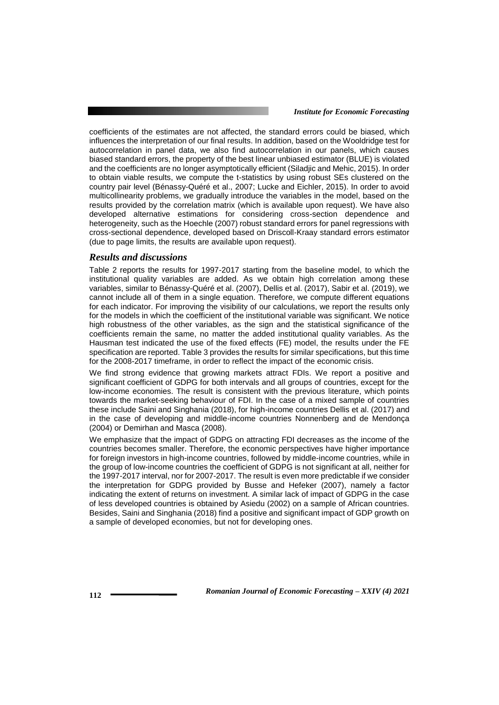coefficients of the estimates are not affected, the standard errors could be biased, which influences the interpretation of our final results. In addition, based on the Wooldridge test for autocorrelation in panel data, we also find autocorrelation in our panels, which causes biased standard errors, the property of the best linear unbiased estimator (BLUE) is violated and the coefficients are no longer asymptotically efficient (Siladjic and Mehic, 2015). In order to obtain viable results, we compute the t-statistics by using robust SEs clustered on the country pair level (Bénassy-Quéré et al., 2007; Lucke and Eichler, 2015). In order to avoid multicollinearity problems, we gradually introduce the variables in the model, based on the results provided by the correlation matrix (which is available upon request). We have also developed alternative estimations for considering cross-section dependence and heterogeneity, such as the Hoechle (2007) robust standard errors for panel regressions with cross-sectional dependence, developed based on Driscoll-Kraay standard errors estimator (due to page limits, the results are available upon request).

## *Results and discussions*

Table 2 reports the results for 1997-2017 starting from the baseline model, to which the institutional quality variables are added. As we obtain high correlation among these variables, similar to Bénassy-Quéré et al. (2007), Dellis et al. (2017), Sabir et al. (2019), we cannot include all of them in a single equation. Therefore, we compute different equations for each indicator. For improving the visibility of our calculations, we report the results only for the models in which the coefficient of the institutional variable was significant. We notice high robustness of the other variables, as the sign and the statistical significance of the coefficients remain the same, no matter the added institutional quality variables. As the Hausman test indicated the use of the fixed effects (FE) model, the results under the FE specification are reported. Table 3 provides the results for similar specifications, but this time for the 2008-2017 timeframe, in order to reflect the impact of the economic crisis.

We find strong evidence that growing markets attract FDIs. We report a positive and significant coefficient of GDPG for both intervals and all groups of countries, except for the low-income economies. The result is consistent with the previous literature, which points towards the market-seeking behaviour of FDI. In the case of a mixed sample of countries these include Saini and Singhania (2018), for high-income countries Dellis et al. (2017) and in the case of developing and middle-income countries Nonnenberg and de Mendonça (2004) or Demirhan and Masca (2008).

We emphasize that the impact of GDPG on attracting FDI decreases as the income of the countries becomes smaller. Therefore, the economic perspectives have higher importance for foreign investors in high-income countries, followed by middle-income countries, while in the group of low-income countries the coefficient of GDPG is not significant at all, neither for the 1997-2017 interval, nor for 2007-2017. The result is even more predictable if we consider the interpretation for GDPG provided by Busse and Hefeker (2007), namely a factor indicating the extent of returns on investment. A similar lack of impact of GDPG in the case of less developed countries is obtained by Asiedu (2002) on a sample of African countries. Besides, Saini and Singhania (2018) find a positive and significant impact of GDP growth on a sample of developed economies, but not for developing ones.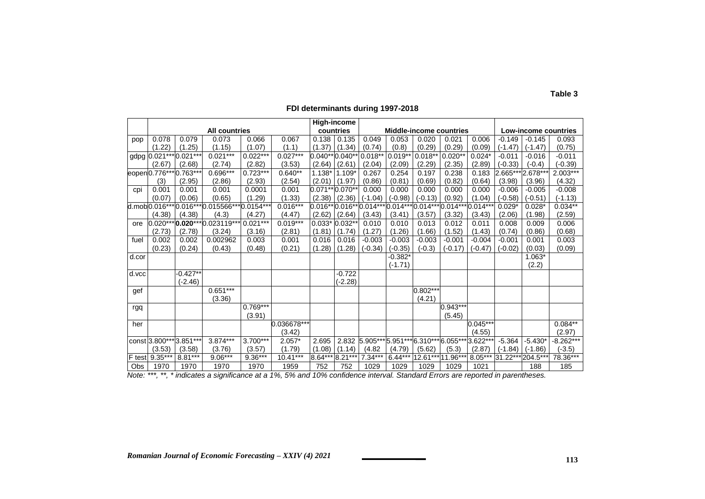#### **All countries High-income countries Middle-income countries Low-income countries** pop | 0.078 | 0.079 | 0.073 | 0.066 | 0.067 |0.138 | 0.135 | 0.049 | 0.053 | 0.020 | 0.021 | 0.006 | -0.149 | -0.145 | 0.093  $(1.22)$   $|$   $(1.25)$   $|$   $|$   $(1.15)$   $|$   $|$   $(1.07)$   $|$   $|$   $(1.37)$   $|$   $(1.34)$   $|$   $(0.74)$   $|$   $|$   $(0.8)$   $|$   $|$   $(0.29)$   $|$   $|$   $(0.09)$   $|$   $(-1.47)$   $|$   $(-1.47)$   $|$   $(0.75)$ gdpg 0.021\*\*\* 0.021\*\*\* 0.021\*\*\* 0.022\*\*\* 0.027\*\*\* 0.040\*\* 0.040\*\* 0.018\*\* 0.019\*\* 0.018\*\* 0.020\*\* 0.024\* -0.011 -0.016 -0.011 (2.67) (2.68) (2.74) (2.82) (3.53) (2.64) (2.61) (2.04) (2.09) (2.29) (2.35) (2.89) (-0.33) (-0.4) (-0.39) eopen0.776\*\*\* 0.763\*\*\* 0.696\*\*\* 0.723\*\*\* 0.640\*\* 1.138\* 1.109\* 0.267 0.254 0.197 0.238 0.183 2.665\*\*\* 2.678\*\*\* 2.003\*\*\* (3) (2.95) (2.86) (2.93) (2.54) (2.01) (1.97) (0.86) (0.81) (0.69) (0.82) (0.64) (3.98) (3.96) (4.32) cpi | 0.001 | 0.001 | 0.001 | 0.0001 | 0.001 |0.071\*\*|0.070\*\*| 0.000 | 0.000 | 0.000 | 0.000 | -0.006 | -0.005 | -0.008 (0.07) (0.06) (0.65) (1.29) (1.33) (2.38) (2.36) (-1.04) (-0.98) (-0.13) (0.92) (1.04) (-0.58) (-0.51) (-1.13) d.mob $[0.016***]0.016***]0.015566***]0.0154*** \left[\begin{array}{c} 0.016*** \ 0.014*** \end{array} \right]$  (0.014\*\*\* 0.014\*\*\*  $[0.014***]0.014***]0.014*** \left[\begin{array}{c} 0.016*** \ 0.014*** \end{array} \right]$  (0.014\*\*\*  $[0.014***]0.014*** \left[\begin{array}{c} 0.016*** \ 0.014*** \end{array} \right]$  (0.028\*  $\left[\begin{array}{$ (4.38) (4.38) (4.3) (4.27) (4.47) (2.62) (2.64) (3.43) (3.41) (3.57) (3.32) (3.43) (2.06) (1.98) (2.59) ore  $|0.020^{***}|$ **0.020**\*\*\* $|0.023119^{***}|0.021^{***}|0.019^{***}|0.033^{*}|0.032^{**}|0.010|0.010|0.013|0.012|0.011|0.008|0.009|0.006$ (2.73) (2.78) (3.24) (3.16) (2.81) (1.81) (1.74) (1.27) (1.26) (1.66) (1.52) (1.43) (0.74) (0.86) (0.68) fuel | 0.002 | 0.002 | 0.002962 | 0.003 | 0.001 | 0.016 | 0.016 | -0.003 | -0.003 | -0.003 | -0.001 | -0.001 | -0.001 | 0.001 | 0.003 (0.23) (0.24) (0.43) (0.48) (0.21) (1.28) (1.28) (-0.34) (-0.35) (-0.3) (-0.17) (-0.47) (-0.02) (0.03) (0.09) d.cor | | | | | | | | | | |-0.382\*| | | | | |1.063\*  $(-1.71)$   $(2.2)$ d.vcc| |-0.427\*\*| | | | | |-0.722  $\frac{(-2.46)}{0.651***}$  (-2.28) gef | | | |0.651\*\*\* | | | | | | | | | | | |0.802\*\*\*  $(3.36)$   $(4.21)$ rgq 0.769\*\*\* 0.943\*\*\*  $(3.91)$   $(5.45)$ her 0.036678\*\*\* 0.045\*\*\* 0.084\*\*  $(3.42)$  | | | | | | | |  $(4.55)$  | |  $(2.97)$ const 3.800\*\*\* 3.851\*\*\* 3.874\*\*\* 3.700\*\*\* 2.057\* 2.695 2.832 5.905\*\*\* 5.951\*\*\*6.310\*\*\* 6.055\*\*\* 3.622\*\*\* -5.364 -5.430\* -8.262\*\*\* (3.53) (3.58) (3.76) (3.57) (1.79) (1.08) (1.14) (4.82 (4.79) (5.62) (5.3) (2.87) (-1.84) (-1.86) (-3.5) F test 9.35\*\*\* 8.81\*\*\* 9.06\*\*\* 9.36\*\*\* 10.41\*\*\* 8.64\*\*\* 8.21\*\*\* 7.34\*\*\* 6.44\*\*\* 12.61\*\*\* 11.96\*\*\* 8.05\*\*\* 31.22\*\*\* 204.5\*\*\* 78.36\*\*\* Obs | 1970 | 1970 | 1970 | 1970 | 1959 | 752 | 752 | 1029 | 1029 | 1029 | 1021 | | 188 | 185

#### **FDI determinants during 1997-2018**

*Note: \*\*\*, \*\*, \* indicates a significance at a 1%, 5% and 10% confidence interval. Standard Errors are reported in parentheses.*

**Table 3**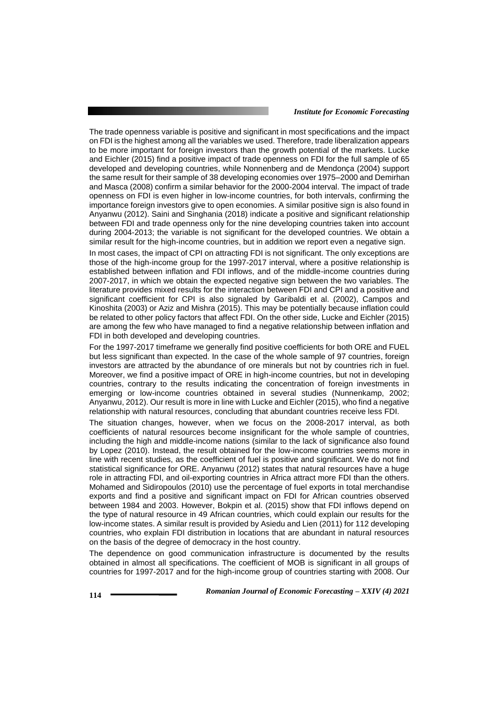The trade openness variable is positive and significant in most specifications and the impact on FDI is the highest among all the variables we used. Therefore, trade liberalization appears to be more important for foreign investors than the growth potential of the markets. Lucke and Eichler (2015) find a positive impact of trade openness on FDI for the full sample of 65 developed and developing countries, while Nonnenberg and de Mendonça (2004) support the same result for their sample of 38 developing economies over 1975–2000 and Demirhan and Masca (2008) confirm a similar behavior for the 2000-2004 interval. The impact of trade openness on FDI is even higher in low-income countries, for both intervals, confirming the importance foreign investors give to open economies. A similar positive sign is also found in Anyanwu (2012). Saini and Singhania (2018) indicate a positive and significant relationship between FDI and trade openness only for the nine developing countries taken into account during 2004-2013; the variable is not significant for the developed countries. We obtain a similar result for the high-income countries, but in addition we report even a negative sign.

In most cases, the impact of CPI on attracting FDI is not significant. The only exceptions are those of the high-income group for the 1997-2017 interval, where a positive relationship is established between inflation and FDI inflows, and of the middle-income countries during 2007-2017, in which we obtain the expected negative sign between the two variables. The literature provides mixed results for the interaction between FDI and CPI and a positive and significant coefficient for CPI is also signaled by Garibaldi et al. (2002), Campos and Kinoshita (2003) or Aziz and Mishra (2015). This may be potentially because inflation could be related to other policy factors that affect FDI. On the other side, Lucke and Eichler (2015) are among the few who have managed to find a negative relationship between inflation and FDI in both developed and developing countries.

For the 1997-2017 timeframe we generally find positive coefficients for both ORE and FUEL but less significant than expected. In the case of the whole sample of 97 countries, foreign investors are attracted by the abundance of ore minerals but not by countries rich in fuel. Moreover, we find a positive impact of ORE in high-income countries, but not in developing countries, contrary to the results indicating the concentration of foreign investments in emerging or low-income countries obtained in several studies (Nunnenkamp, 2002; Anyanwu, 2012). Our result is more in line with Lucke and Eichler (2015), who find a negative relationship with natural resources, concluding that abundant countries receive less FDI.

The situation changes, however, when we focus on the 2008-2017 interval, as both coefficients of natural resources become insignificant for the whole sample of countries, including the high and middle-income nations (similar to the lack of significance also found by Lopez (2010). Instead, the result obtained for the low-income countries seems more in line with recent studies, as the coefficient of fuel is positive and significant. We do not find statistical significance for ORE. Anyanwu (2012) states that natural resources have a huge role in attracting FDI, and oil-exporting countries in Africa attract more FDI than the others. Mohamed and Sidiropoulos (2010) use the percentage of fuel exports in total merchandise exports and find a positive and significant impact on FDI for African countries observed between 1984 and 2003. However, Bokpin et al. (2015) show that FDI inflows depend on the type of natural resource in 49 African countries, which could explain our results for the low-income states. A similar result is provided by Asiedu and Lien (2011) for 112 developing countries, who explain FDI distribution in locations that are abundant in natural resources on the basis of the degree of democracy in the host country.

The dependence on good communication infrastructure is documented by the results obtained in almost all specifications. The coefficient of MOB is significant in all groups of countries for 1997-2017 and for the high-income group of countries starting with 2008. Our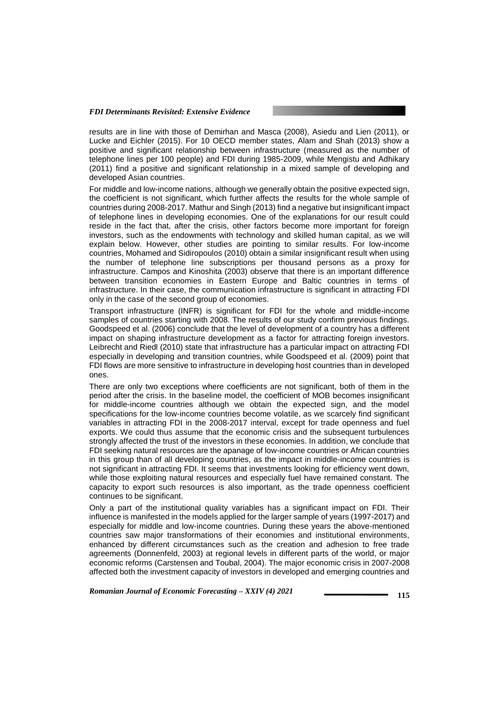results are in line with those of Demirhan and Masca (2008), Asiedu and Lien (2011), or Lucke and Eichler (2015). For 10 OECD member states, Alam and Shah (2013) show a positive and significant relationship between infrastructure (measured as the number of telephone lines per 100 people) and FDI during 1985-2009, while Mengistu and Adhikary (2011) find a positive and significant relationship in a mixed sample of developing and developed Asian countries.

For middle and low-income nations, although we generally obtain the positive expected sign, the coefficient is not significant, which further affects the results for the whole sample of countries during 2008-2017. Mathur and Singh (2013) find a negative but insignificant impact of telephone lines in developing economies. One of the explanations for our result could reside in the fact that, after the crisis, other factors become more important for foreign investors, such as the endowments with technology and skilled human capital, as we will explain below. However, other studies are pointing to similar results. For low-income countries, Mohamed and Sidiropoulos (2010) obtain a similar insignificant result when using the number of telephone line subscriptions per thousand persons as a proxy for infrastructure. Campos and Kinoshita (2003) observe that there is an important difference between transition economies in Eastern Europe and Baltic countries in terms of infrastructure. In their case, the communication infrastructure is significant in attracting FDI only in the case of the second group of economies.

Transport infrastructure (INFR) is significant for FDI for the whole and middle-income samples of countries starting with 2008. The results of our study confirm previous findings. Goodspeed et al. (2006) conclude that the level of development of a country has a different impact on shaping infrastructure development as a factor for attracting foreign investors. Leibrecht and Riedl (2010) state that infrastructure has a particular impact on attracting FDI especially in developing and transition countries, while Goodspeed et al. (2009) point that FDI flows are more sensitive to infrastructure in developing host countries than in developed ones.

There are only two exceptions where coefficients are not significant, both of them in the period after the crisis. In the baseline model, the coefficient of MOB becomes insignificant for middle-income countries although we obtain the expected sign, and the model specifications for the low-income countries become volatile, as we scarcely find significant variables in attracting FDI in the 2008-2017 interval, except for trade openness and fuel exports. We could thus assume that the economic crisis and the subsequent turbulences strongly affected the trust of the investors in these economies. In addition, we conclude that FDI seeking natural resources are the apanage of low-income countries or African countries in this group than of all developing countries, as the impact in middle-income countries is not significant in attracting FDI. It seems that investments looking for efficiency went down, while those exploiting natural resources and especially fuel have remained constant. The capacity to export such resources is also important, as the trade openness coefficient continues to be significant.

Only a part of the institutional quality variables has a significant impact on FDI. Their influence is manifested in the models applied for the larger sample of years (1997-2017) and especially for middle and low-income countries. During these years the above-mentioned countries saw major transformations of their economies and institutional environments, enhanced by different circumstances such as the creation and adhesion to free trade agreements (Donnenfeld, 2003) at regional levels in different parts of the world, or major economic reforms (Carstensen and Toubal, 2004). The major economic crisis in 2007-2008 affected both the investment capacity of investors in developed and emerging countries and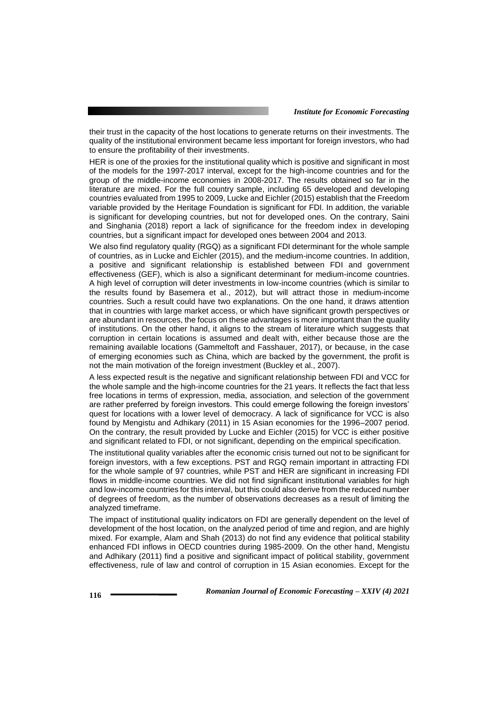their trust in the capacity of the host locations to generate returns on their investments. The quality of the institutional environment became less important for foreign investors, who had to ensure the profitability of their investments.

HER is one of the proxies for the institutional quality which is positive and significant in most of the models for the 1997-2017 interval, except for the high-income countries and for the group of the middle-income economies in 2008-2017. The results obtained so far in the literature are mixed. For the full country sample, including 65 developed and developing countries evaluated from 1995 to 2009, Lucke and Eichler (2015) establish that the Freedom variable provided by the Heritage Foundation is significant for FDI. In addition, the variable is significant for developing countries, but not for developed ones. On the contrary, Saini and Singhania (2018) report a lack of significance for the freedom index in developing countries, but a significant impact for developed ones between 2004 and 2013.

We also find regulatory quality (RGQ) as a significant FDI determinant for the whole sample of countries, as in Lucke and Eichler (2015), and the medium-income countries. In addition, a positive and significant relationship is established between FDI and government effectiveness (GEF), which is also a significant determinant for medium-income countries. A high level of corruption will deter investments in low-income countries (which is similar to the results found by Basemera et al., 2012), but will attract those in medium-income countries. Such a result could have two explanations. On the one hand, it draws attention that in countries with large market access, or which have significant growth perspectives or are abundant in resources, the focus on these advantages is more important than the quality of institutions. On the other hand, it aligns to the stream of literature which suggests that corruption in certain locations is assumed and dealt with, either because those are the remaining available locations (Gammeltoft and Fasshauer, 2017), or because, in the case of emerging economies such as China, which are backed by the government, the profit is not the main motivation of the foreign investment (Buckley et al., 2007).

A less expected result is the negative and significant relationship between FDI and VCC for the whole sample and the high-income countries for the 21 years. It reflects the fact that less free locations in terms of expression, media, association, and selection of the government are rather preferred by foreign investors. This could emerge following the foreign investors' quest for locations with a lower level of democracy. A lack of significance for VCC is also found by Mengistu and Adhikary (2011) in 15 Asian economies for the 1996–2007 period. On the contrary, the result provided by Lucke and Eichler (2015) for VCC is either positive and significant related to FDI, or not significant, depending on the empirical specification.

The institutional quality variables after the economic crisis turned out not to be significant for foreign investors, with a few exceptions. PST and RGQ remain important in attracting FDI for the whole sample of 97 countries, while PST and HER are significant in increasing FDI flows in middle-income countries. We did not find significant institutional variables for high and low-income countries for this interval, but this could also derive from the reduced number of degrees of freedom, as the number of observations decreases as a result of limiting the analyzed timeframe.

The impact of institutional quality indicators on FDI are generally dependent on the level of development of the host location, on the analyzed period of time and region, and are highly mixed. For example, Alam and Shah (2013) do not find any evidence that political stability enhanced FDI inflows in OECD countries during 1985-2009. On the other hand, Mengistu and Adhikary (2011) find a positive and significant impact of political stability, government effectiveness, rule of law and control of corruption in 15 Asian economies. Except for the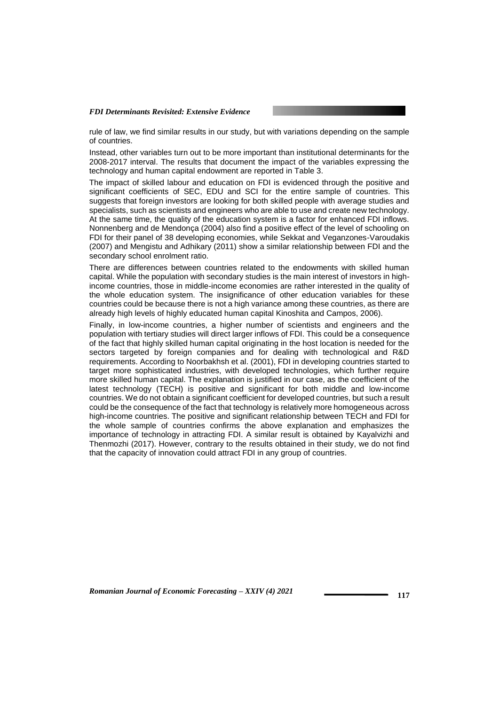rule of law, we find similar results in our study, but with variations depending on the sample of countries.

Instead, other variables turn out to be more important than institutional determinants for the 2008-2017 interval. The results that document the impact of the variables expressing the technology and human capital endowment are reported in Table 3.

The impact of skilled labour and education on FDI is evidenced through the positive and significant coefficients of SEC, EDU and SCI for the entire sample of countries. This suggests that foreign investors are looking for both skilled people with average studies and specialists, such as scientists and engineers who are able to use and create new technology. At the same time, the quality of the education system is a factor for enhanced FDI inflows. Nonnenberg and de Mendonça (2004) also find a positive effect of the level of schooling on FDI for their panel of 38 developing economies, while Sekkat and Veganzones-Varoudakis (2007) and Mengistu and Adhikary (2011) show a similar relationship between FDI and the secondary school enrolment ratio.

There are differences between countries related to the endowments with skilled human capital. While the population with secondary studies is the main interest of investors in highincome countries, those in middle-income economies are rather interested in the quality of the whole education system. The insignificance of other education variables for these countries could be because there is not a high variance among these countries, as there are already high levels of highly educated human capital Kinoshita and Campos, 2006).

Finally, in low-income countries, a higher number of scientists and engineers and the population with tertiary studies will direct larger inflows of FDI. This could be a consequence of the fact that highly skilled human capital originating in the host location is needed for the sectors targeted by foreign companies and for dealing with technological and R&D requirements. According to Noorbakhsh et al. (2001), FDI in developing countries started to target more sophisticated industries, with developed technologies, which further require more skilled human capital. The explanation is justified in our case, as the coefficient of the latest technology (TECH) is positive and significant for both middle and low-income countries. We do not obtain a significant coefficient for developed countries, but such a result could be the consequence of the fact that technology is relatively more homogeneous across high-income countries. The positive and significant relationship between TECH and FDI for the whole sample of countries confirms the above explanation and emphasizes the importance of technology in attracting FDI. A similar result is obtained by Kayalvizhi and Thenmozhi (2017). However, contrary to the results obtained in their study, we do not find that the capacity of innovation could attract FDI in any group of countries.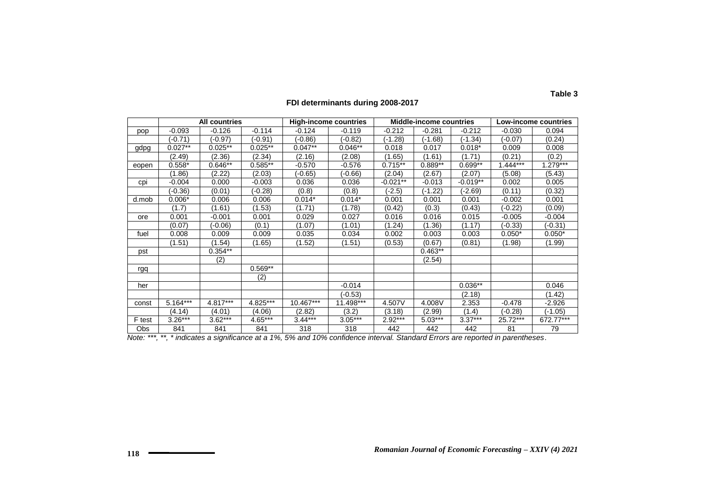|        | <b>All countries</b> |            |            | <b>High-income countries</b> |           | <b>Middle-income countries</b> |           |            | Low-income countries |             |
|--------|----------------------|------------|------------|------------------------------|-----------|--------------------------------|-----------|------------|----------------------|-------------|
| pop    | $-0.093$             | $-0.126$   | $-0.114$   | $-0.124$                     | $-0.119$  | $-0.212$                       | $-0.281$  | $-0.212$   | $-0.030$             | 0.094       |
|        | $-0.71)$             | $(-0.97)$  | $(-0.91)$  | $-0.86$                      | $-0.82$   | (-1.28)                        | (-1.68)   | $(-1.34)$  | $-0.07$              | (0.24)      |
| gdpg   | $0.027**$            | $0.025***$ | $0.025**$  | $0.047**$                    | $0.046**$ | 0.018                          | 0.017     | $0.018*$   | 0.009                | 0.008       |
|        | (2.49)               | (2.36)     | (2.34)     | (2.16)                       | (2.08)    | (1.65)                         | (1.61)    | (1.71)     | (0.21)               | (0.2)       |
| eopen  | $0.558*$             | $0.646**$  | $0.585**$  | $-0.570$                     | $-0.576$  | $0.715**$                      | $0.889**$ | $0.699**$  | $1.444***$           | $1.279***$  |
|        | (1.86)               | (2.22)     | (2.03)     | $-0.65$                      | $-0.66$   | (2.04)                         | (2.67)    | (2.07)     | (5.08)               | (5.43)      |
| cpi    | $-0.004$             | 0.000      | $-0.003$   | 0.036                        | 0.036     | $-0.021**$                     | $-0.013$  | $-0.019**$ | 0.002                | 0.005       |
|        | $-0.36$              | (0.01)     | $-0.28$    | (0.8)                        | (0.8)     | $-2.5)$                        | (-1.22)   | $-2.69$    | (0.11)               | (0.32)      |
| d.mob  | $0.006*$             | 0.006      | 0.006      | $0.014*$                     | $0.014*$  | 0.001                          | 0.001     | 0.001      | $-0.002$             | 0.001       |
|        | (1.7)                | (1.61)     | (1.53)     | (1.71)                       | (1.78)    | (0.42)                         | (0.3)     | (0.43)     | $-0.22$              | (0.09)      |
| ore    | 0.001                | $-0.001$   | 0.001      | 0.029                        | 0.027     | 0.016                          | 0.016     | 0.015      | $-0.005$             | $-0.004$    |
|        | (0.07)               | $(-0.06)$  | (0.1)      | (1.07)                       | (1.01)    | (1.24)                         | (1.36)    | (1.17)     | $-0.33)$             | $(-0.31)$   |
| fuel   | 0.008                | 0.009      | 0.009      | 0.035                        | 0.034     | 0.002                          | 0.003     | 0.003      | $0.050*$             | $0.050*$    |
|        | (1.51)               | (1.54)     | (1.65)     | (1.52)                       | (1.51)    | (0.53)                         | (0.67)    | (0.81)     | (1.98)               | (1.99)      |
| pst    |                      | $0.354**$  |            |                              |           |                                | $0.463**$ |            |                      |             |
|        |                      | (2)        |            |                              |           |                                | (2.54)    |            |                      |             |
| rgq    |                      |            | $0.569**$  |                              |           |                                |           |            |                      |             |
|        |                      |            | (2)        |                              |           |                                |           |            |                      |             |
| her    |                      |            |            |                              | $-0.014$  |                                |           | $0.036**$  |                      | 0.046       |
|        |                      |            |            |                              | $(-0.53)$ |                                |           | (2.18)     |                      | (1.42)      |
| const  | $5.164***$           | $4.817***$ | $4.825***$ | $10.467***$                  | 11.498*** | 4.507V                         | 4.008V    | 2.353      | $-0.478$             | $-2.926$    |
|        | (4.14)               | (4.01)     | (4.06)     | (2.82)                       | (3.2)     | (3.18)                         | (2.99)    | (1.4)      | $(-0.28)$            | $(-1.05)$   |
| F test | $3.26***$            | $3.62***$  | $4.65***$  | $3.44***$                    | $3.05***$ | $2.92***$                      | $5.03***$ | $3.37***$  | 25.72***             | $672.77***$ |
| Obs    | 841                  | 841        | 841        | 318                          | 318       | 442                            | 442       | 442        | 81                   | 79          |

# **FDI determinants during 2008-2017**

*Note: \*\*\*, \*\*, \* indicates a significance at a 1%, 5% and 10% confidence interval. Standard Errors are reported in parentheses*.

**Table 3**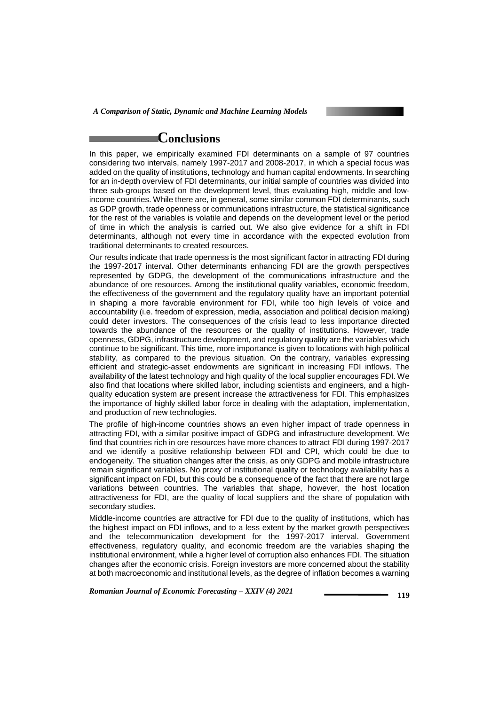*A Comparison of Static, Dynamic and Machine Learning Models*

# **Conclusions**

In this paper, we empirically examined FDI determinants on a sample of 97 countries considering two intervals, namely 1997-2017 and 2008-2017, in which a special focus was added on the quality of institutions, technology and human capital endowments. In searching for an in-depth overview of FDI determinants, our initial sample of countries was divided into three sub-groups based on the development level, thus evaluating high, middle and lowincome countries. While there are, in general, some similar common FDI determinants, such as GDP growth, trade openness or communications infrastructure, the statistical significance for the rest of the variables is volatile and depends on the development level or the period of time in which the analysis is carried out. We also give evidence for a shift in FDI determinants, although not every time in accordance with the expected evolution from traditional determinants to created resources.

Our results indicate that trade openness is the most significant factor in attracting FDI during the 1997-2017 interval. Other determinants enhancing FDI are the growth perspectives represented by GDPG, the development of the communications infrastructure and the abundance of ore resources. Among the institutional quality variables, economic freedom, the effectiveness of the government and the regulatory quality have an important potential in shaping a more favorable environment for FDI, while too high levels of voice and accountability (i.e. freedom of expression, media, association and political decision making) could deter investors. The consequences of the crisis lead to less importance directed towards the abundance of the resources or the quality of institutions. However, trade openness, GDPG, infrastructure development, and regulatory quality are the variables which continue to be significant. This time, more importance is given to locations with high political stability, as compared to the previous situation. On the contrary, variables expressing efficient and strategic-asset endowments are significant in increasing FDI inflows. The availability of the latest technology and high quality of the local supplier encourages FDI. We also find that locations where skilled labor, including scientists and engineers, and a highquality education system are present increase the attractiveness for FDI. This emphasizes the importance of highly skilled labor force in dealing with the adaptation, implementation, and production of new technologies.

The profile of high-income countries shows an even higher impact of trade openness in attracting FDI, with a similar positive impact of GDPG and infrastructure development. We find that countries rich in ore resources have more chances to attract FDI during 1997-2017 and we identify a positive relationship between FDI and CPI, which could be due to endogeneity. The situation changes after the crisis, as only GDPG and mobile infrastructure remain significant variables. No proxy of institutional quality or technology availability has a significant impact on FDI, but this could be a consequence of the fact that there are not large variations between countries. The variables that shape, however, the host location attractiveness for FDI, are the quality of local suppliers and the share of population with secondary studies.

Middle-income countries are attractive for FDI due to the quality of institutions, which has the highest impact on FDI inflows, and to a less extent by the market growth perspectives and the telecommunication development for the 1997-2017 interval. Government effectiveness, regulatory quality, and economic freedom are the variables shaping the institutional environment, while a higher level of corruption also enhances FDI. The situation changes after the economic crisis. Foreign investors are more concerned about the stability at both macroeconomic and institutional levels, as the degree of inflation becomes a warning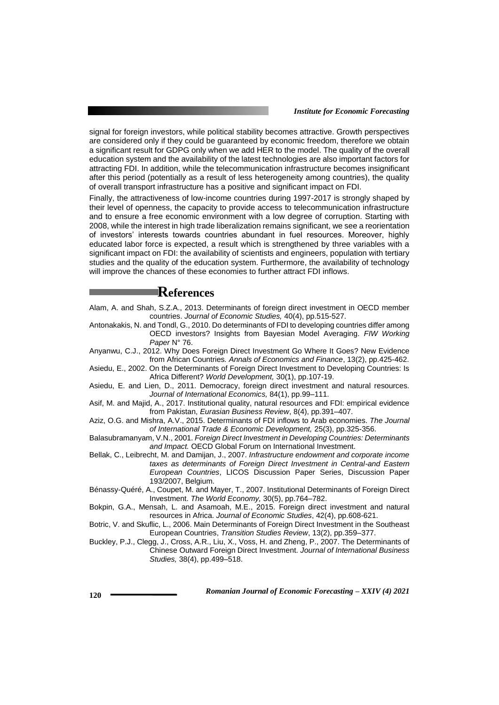signal for foreign investors, while political stability becomes attractive. Growth perspectives are considered only if they could be guaranteed by economic freedom, therefore we obtain a significant result for GDPG only when we add HER to the model. The quality of the overall education system and the availability of the latest technologies are also important factors for attracting FDI. In addition, while the telecommunication infrastructure becomes insignificant after this period (potentially as a result of less heterogeneity among countries), the quality of overall transport infrastructure has a positive and significant impact on FDI.

Finally, the attractiveness of low-income countries during 1997-2017 is strongly shaped by their level of openness, the capacity to provide access to telecommunication infrastructure and to ensure a free economic environment with a low degree of corruption. Starting with 2008, while the interest in high trade liberalization remains significant, we see a reorientation of investors' interests towards countries abundant in fuel resources. Moreover, highly educated labor force is expected, a result which is strengthened by three variables with a significant impact on FDI: the availability of scientists and engineers, population with tertiary studies and the quality of the education system. Furthermore, the availability of technology will improve the chances of these economies to further attract FDI inflows.

# **References**

- Alam, A. and Shah, S.Z.A., 2013. Determinants of foreign direct investment in OECD member countries. *Journal of Economic Studies,* 40(4), pp.515-527.
- Antonakakis, N. and Tondl, G., 2010. Do determinants of FDI to developing countries differ among OECD investors? Insights from Bayesian Model Averaging. *FIW Working Paper* N° 76.
- Anyanwu, C.J., 2012. Why Does Foreign Direct Investment Go Where It Goes? New Evidence from African Countries*. Annals of Economics and Finance*, 13(2), pp.425-462.
- Asiedu, E., 2002. On the Determinants of Foreign Direct Investment to Developing Countries: Is Africa Different? *World Development,* 30(1), pp.107-19.
- Asiedu, E. and Lien, D., 2011. Democracy, foreign direct investment and natural resources. *Journal of International Economics,* 84(1), pp.99–111.
- Asif, M. and Majid, A., 2017. Institutional quality, natural resources and FDI: empirical evidence from Pakistan, *Eurasian Business Review*, 8(4), pp.391–407.
- Aziz, O.G. and Mishra, A.V., 2015. Determinants of FDI inflows to Arab economies. *The Journal of International Trade & Economic Development,* 25(3), pp.325-356.
- Balasubramanyam, V.N., 2001. *Foreign Direct Investment in Developing Countries: Determinants and Impact.* OECD Global Forum on International Investment.
- Bellak, C., Leibrecht, M. and Damijan, J., 2007. *Infrastructure endowment and corporate income taxes as determinants of Foreign Direct Investment in Central-and Eastern European Countries*, LICOS Discussion Paper Series, Discussion Paper 193/2007, Belgium.
- Bénassy-Quéré, A., Coupet, M. and Mayer, T., 2007. Institutional Determinants of Foreign Direct Investment. *The World Economy,* 30(5), pp.764–782.
- Bokpin, G.A., Mensah, L. and Asamoah, M.E., 2015. Foreign direct investment and natural resources in Africa. *Journal of Economic Studies*, 42(4), pp.608-621.
- Botric, V. and Skuflic, L., 2006. Main Determinants of Foreign Direct Investment in the Southeast European Countries, *Transition Studies Review*, 13(2), pp.359–377.
- Buckley, P.J., Clegg, J., Cross, A.R., Liu, X., Voss, H. and Zheng, P., 2007. The Determinants of Chinese Outward Foreign Direct Investment. *Journal of International Business Studies,* 38(4), pp.499–518.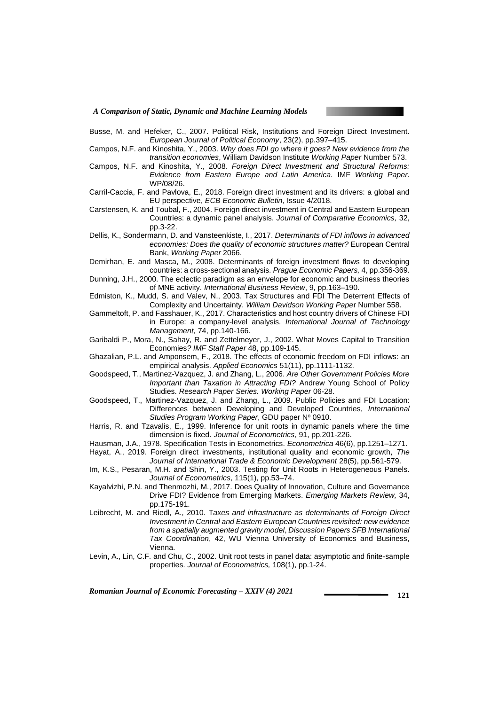*A Comparison of Static, Dynamic and Machine Learning Models*



- Busse, M. and Hefeker, C., 2007. Political Risk, Institutions and Foreign Direct Investment. *European Journal of Political Economy*, 23(2), pp.397–415.
- Campos, N.F. and Kinoshita, Y., 2003. *Why does FDI go where it goes? New evidence from the transition economies*, William Davidson Institute *Working Paper* Number 573.
- Campos, N.F. and Kinoshita, Y., 2008. *Foreign Direct Investment and Structural Reforms: Evidence from Eastern Europe and Latin America*. IMF *Working Paper*. WP/08/26.
- Carril-Caccia, F. and Pavlova, E., 2018. Foreign direct investment and its drivers: a global and EU perspective, *ECB Economic Bulletin*, Issue 4/2018.
- Carstensen, K. and Toubal, F., 2004. Foreign direct investment in Central and Eastern European Countries: a dynamic panel analysis. *Journal of Comparative Economics,* 32, pp.3-22.
- Dellis, K., Sondermann, D. and Vansteenkiste, I., 2017. *Determinants of FDI inflows in advanced economies: Does the quality of economic structures matter?* European Central Bank, *Working Paper* 2066.
- Demirhan, E. and Masca, M., 2008. Determinants of foreign investment flows to developing countries: a cross-sectional analysis. *Prague Economic Papers,* 4, pp.356-369.
- Dunning, J.H., 2000. The eclectic paradigm as an envelope for economic and business theories of MNE activity. *International Business Review*, 9, pp.163–190.
- Edmiston, K., Mudd, S. and Valev, N., 2003. Tax Structures and FDI The Deterrent Effects of Complexity and Uncertainty. *William Davidson Working Pape*r Number 558.
- Gammeltoft, P. and Fasshauer, K., 2017. Characteristics and host country drivers of Chinese FDI in Europe: a company-level analysis*. International Journal of Technology Management,* 74, pp.140-166.
- Garibaldi P., Mora, N., Sahay, R. and Zettelmeyer, J., 2002. What Moves Capital to Transition Economies*? IMF Staff Paper* 48, pp.109-145.
- Ghazalian, P.L. and Amponsem, F., 2018. The effects of economic freedom on FDI inflows: an empirical analysis. *Applied Economics* 51(11), pp.1111-1132.
- Goodspeed, T., Martinez-Vazquez, J. and Zhang, L., 2006. *Are Other Government Policies More Important than Taxation in Attracting FDI?* Andrew Young School of Policy Studies. *Research Paper Series. Working Paper* 06-28.
- Goodspeed, T., Martinez-Vazquez, J. and Zhang, L., 2009. Public Policies and FDI Location: Differences between Developing and Developed Countries, *International*  Studies Program Working Paper, GDU paper Nº 0910.
- Harris, R. and Tzavalis, E., 1999. Inference for unit roots in dynamic panels where the time dimension is fixed. *Journal of Econometrics*, 91, pp.201-226.
- Hausman, J.A., 1978. Specification Tests in Econometrics. *Econometrica* 46(6), pp.1251–1271. Hayat, A., 2019. Foreign direct investments, institutional quality and economic growth, *The*

*Journal of International Trade & Economic Development* 28(5), pp.561-579.

- Im, K.S., Pesaran, M.H. and Shin, Y., 2003. Testing for Unit Roots in Heterogeneous Panels. *Journal of Econometrics*, 115(1), pp.53–74.
- Kayalvizhi, P.N. and Thenmozhi, M., 2017. Does Quality of Innovation, Culture and Governance Drive FDI? Evidence from Emerging Markets. *Emerging Markets Review,* 34, pp.175-191.
- Leibrecht, M. and Riedl, A., 2010. T*axes and infrastructure as determinants of Foreign Direct Investment in Central and Eastern European Countries revisited: new evidence from a spatially augmented gravity model*, *Discussion Papers SFB International Tax Coordination*, 42, WU Vienna University of Economics and Business, Vienna.
- Levin, A., Lin, C.F. and Chu, C., 2002. Unit root tests in panel data: asymptotic and finite-sample properties. *Journal of Econometrics,* 108(1), pp.1-24.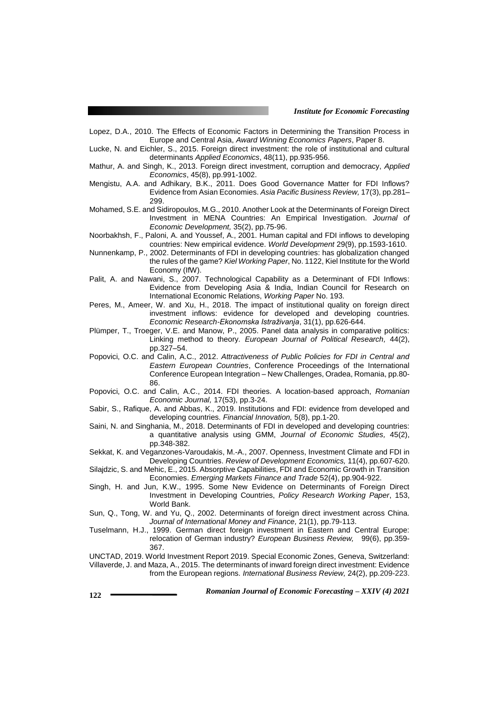- Lopez, D.A., 2010. The Effects of Economic Factors in Determining the Transition Process in Europe and Central Asia, *Award Winning Economics Papers*, Paper 8.
- Lucke, N. and Eichler, S., 2015. Foreign direct investment: the role of institutional and cultural determinants *Applied Economics*, 48(11), pp.935-956.
- Mathur, A. and Singh, K., 2013. Foreign direct investment, corruption and democracy, *Applied Economics*, 45(8), pp.991-1002.
- Mengistu, A.A. and Adhikary, B.K., 2011. Does Good Governance Matter for FDI Inflows? Evidence from Asian Economies. *Asia Pacific Business Review,* 17(3), pp.281– 299.
- Mohamed, S.E. and Sidiropoulos, M.G., 2010. Another Look at the Determinants of Foreign Direct Investment in MENA Countries: An Empirical Investigation. *Journal of Economic Development,* 35(2), pp.75-96.
- Noorbakhsh, F., Paloni, A. and Youssef, A., 2001. Human capital and FDI inflows to developing countries: New empirical evidence. *World Development* 29(9), pp.1593-1610.
- Nunnenkamp, P., 2002. Determinants of FDI in developing countries: has globalization changed the rules of the game? *Kiel Working Paper*, No. 1122, Kiel Institute for the World Economy (IfW).
- Palit, A. and Nawani, S., 2007. Technological Capability as a Determinant of FDI Inflows: Evidence from Developing Asia & India, Indian Council for Research on International Economic Relations, *Working Paper* No. 193.
- Peres, M., Ameer, W. and Xu, H., 2018. The impact of institutional quality on foreign direct investment inflows: evidence for developed and developing countries. *Economic Research-Ekonomska Istraživanja*, 31(1), pp.626-644.
- Plümper, T., Troeger, V.E. and Manow, P., 2005. Panel data analysis in comparative politics: Linking method to theory*. European Journal of Political Research,* 44(2), pp.327–54.
- Popovici, O.C. and Calin, A.C., 2012. *Attractiveness of Public Policies for FDI in Central and Eastern European Countries*, Conference Proceedings of the International Conference European Integration – New Challenges, Oradea, Romania, pp.80- 86.
- Popovici, O.C. and Calin, A.C., 2014. FDI theories. A location-based approach, *Romanian Economic Journal,* 17(53), pp.3-24.
- Sabir, S., Rafique, A. and Abbas, K., 2019. Institutions and FDI: evidence from developed and developing countries. *Financial Innovation,* 5(8), pp.1-20.
- Saini, N. and Singhania, M., 2018. Determinants of FDI in developed and developing countries: a quantitative analysis using GMM, *Journal of Economic Studies,* 45(2), pp.348-382.
- Sekkat, K. and Veganzones-Varoudakis, M.-A., 2007. Openness, Investment Climate and FDI in Developing Countries. *Review of Development Economics,* 11(4), pp.607-620.
- Silajdzic, S. and Mehic, E., 2015. Absorptive Capabilities, FDI and Economic Growth in Transition Economies. *Emerging Markets Finance and Trade* 52(4), pp.904-922.
- Singh, H. and Jun, K.W., 1995. Some New Evidence on Determinants of Foreign Direct Investment in Developing Countries, *Policy Research Working Paper*, 153, World Bank.
- Sun, Q., Tong, W. and Yu, Q., 2002. Determinants of foreign direct investment across China. *Journal of International Money and Finance,* 21(1), pp.79-113.
- Tuselmann, H.J., 1999. German direct foreign investment in Eastern and Central Europe: relocation of German industry? *European Business Review,* 99(6), pp.359- 367.

UNCTAD, 2019. World Investment Report 2019. Special Economic Zones, Geneva, Switzerland: Villaverde, J. and Maza, A., 2015. The determinants of inward foreign direct investment: Evidence from the European regions. *International Business Review,* 24(2), pp.209-223.